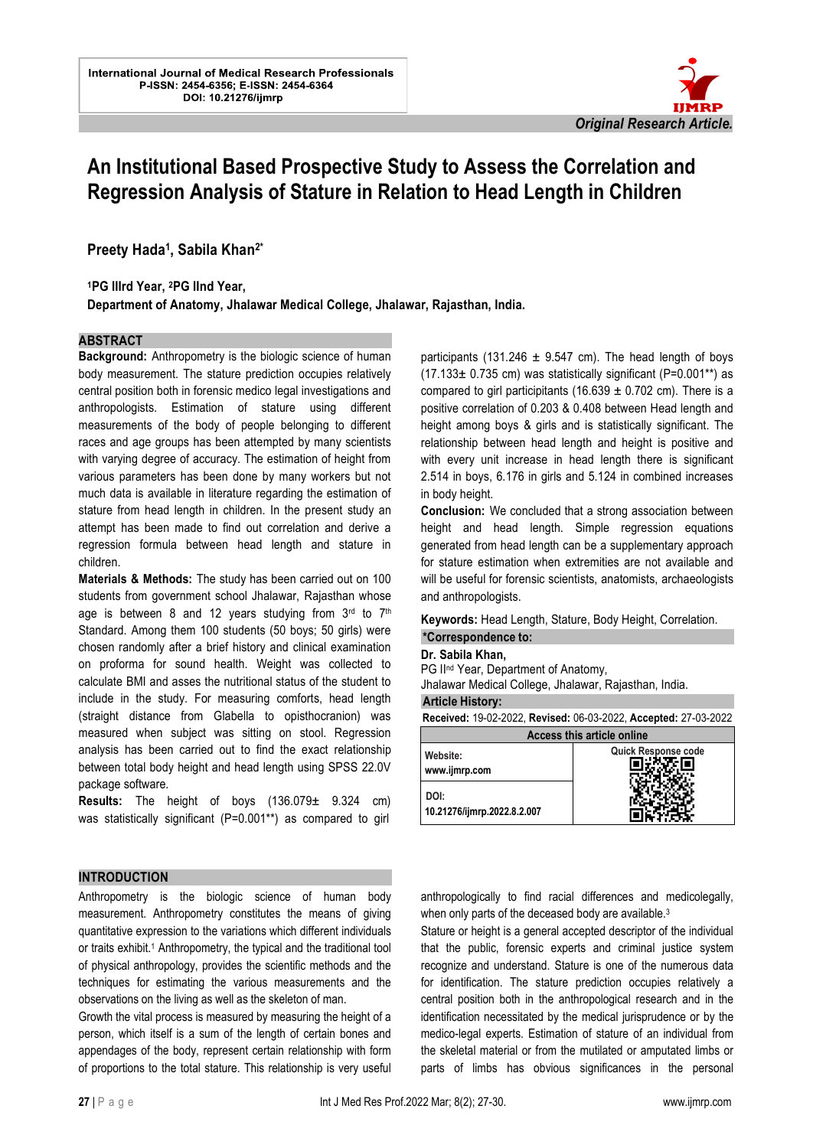

# **An Institutional Based Prospective Study to Assess the Correlation and Regression Analysis of Stature in Relation to Head Length in Children**

l.

**Preety Hada<sup>1</sup> , Sabila Khan2\***

**<sup>1</sup>PG IIIrd Year, 2PG IInd Year,** 

**Department of Anatomy, Jhalawar Medical College, Jhalawar, Rajasthan, India.**

#### **ABSTRACT**

**Background:** Anthropometry is the biologic science of human body measurement. The stature prediction occupies relatively central position both in forensic medico legal investigations and anthropologists. Estimation of stature using different measurements of the body of people belonging to different races and age groups has been attempted by many scientists with varying degree of accuracy. The estimation of height from various parameters has been done by many workers but not much data is available in literature regarding the estimation of stature from head length in children. In the present study an attempt has been made to find out correlation and derive a regression formula between head length and stature in children.

**Materials & Methods:** The study has been carried out on 100 students from government school Jhalawar, Rajasthan whose age is between 8 and 12 years studying from  $3<sup>rd</sup>$  to  $7<sup>th</sup>$ Standard. Among them 100 students (50 boys; 50 girls) were chosen randomly after a brief history and clinical examination on proforma for sound health. Weight was collected to calculate BMI and asses the nutritional status of the student to include in the study. For measuring comforts, head length (straight distance from Glabella to opisthocranion) was measured when subject was sitting on stool. Regression analysis has been carried out to find the exact relationship between total body height and head length using SPSS 22.0V package software.

**Results:** The height of boys (136.079± 9.324 cm) was statistically significant (P=0.001\*\*) as compared to girl

# $(17.133 \pm 0.735$  cm) was statistically significant (P=0.001\*\*) as compared to girl participitants (16.639  $\pm$  0.702 cm). There is a positive correlation of 0.203 & 0.408 between Head length and height among boys & girls and is statistically significant. The relationship between head length and height is positive and with every unit increase in head length there is significant 2.514 in boys, 6.176 in girls and 5.124 in combined increases in body height. **Conclusion:** We concluded that a strong association between

participants (131.246  $\pm$  9.547 cm). The head length of boys

height and head length. Simple regression equations generated from head length can be a supplementary approach for stature estimation when extremities are not available and will be useful for forensic scientists, anatomists, archaeologists and anthropologists.

#### **Keywords:** Head Length, Stature, Body Height, Correlation. **\*Correspondence to:**

#### **Dr. Sabila Khan,**

PG II<sup>nd</sup> Year, Department of Anatomy,

Jhalawar Medical College, Jhalawar, Rajasthan, India.

#### **Article History:**

| Received: 19-02-2022, Revised: 06-03-2022, Accepted: 27-03-2022 |                     |  |
|-----------------------------------------------------------------|---------------------|--|
| Access this article online                                      |                     |  |
| Website:<br>www.ijmrp.com                                       | Quick Response code |  |
| DOI:<br>10.21276/ijmrp.2022.8.2.007                             |                     |  |

# **INTRODUCTION**

Anthropometry is the biologic science of human body measurement. Anthropometry constitutes the means of giving quantitative expression to the variations which different individuals or traits exhibit.<sup>1</sup> Anthropometry, the typical and the traditional tool of physical anthropology, provides the scientific methods and the techniques for estimating the various measurements and the observations on the living as well as the skeleton of man.

Growth the vital process is measured by measuring the height of a person, which itself is a sum of the length of certain bones and appendages of the body, represent certain relationship with form of proportions to the total stature. This relationship is very useful anthropologically to find racial differences and medicolegally, when only parts of the deceased body are available.<sup>3</sup>

Stature or height is a general accepted descriptor of the individual that the public, forensic experts and criminal justice system recognize and understand. Stature is one of the numerous data for identification. The stature prediction occupies relatively a central position both in the anthropological research and in the identification necessitated by the medical jurisprudence or by the medico-legal experts. Estimation of stature of an individual from the skeletal material or from the mutilated or amputated limbs or parts of limbs has obvious significances in the personal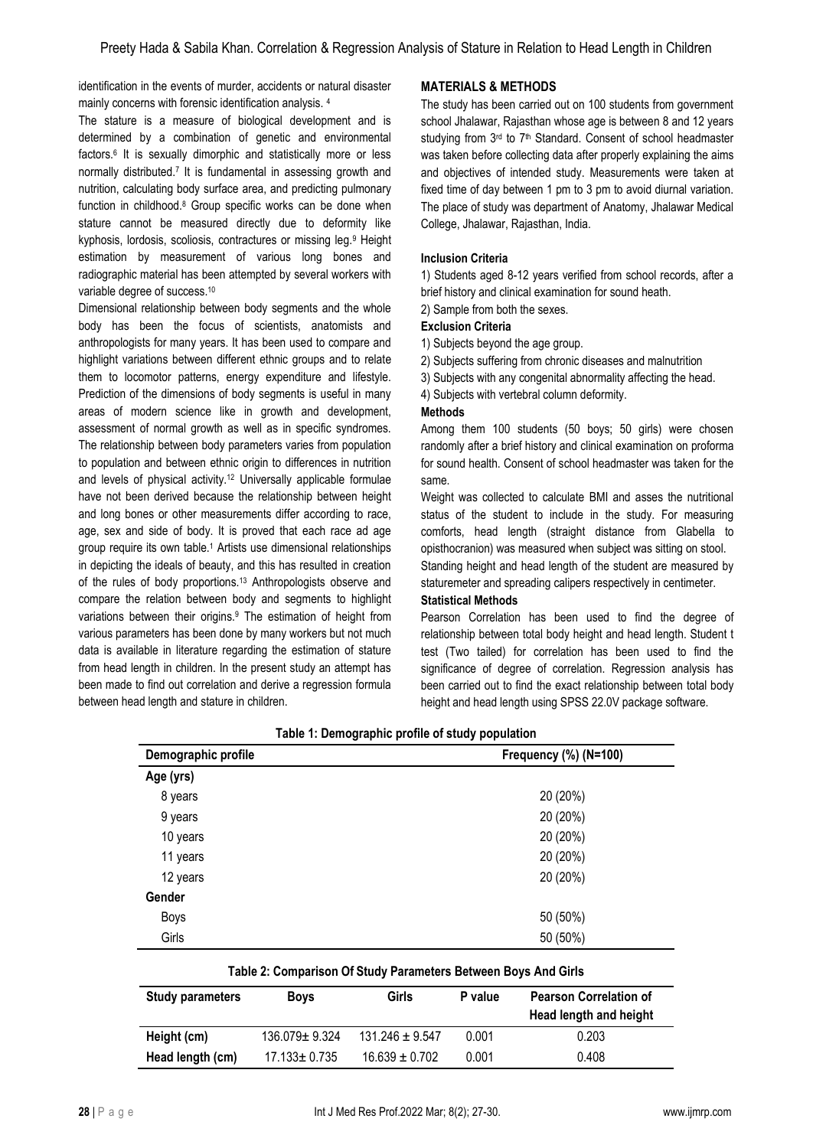identification in the events of murder, accidents or natural disaster mainly concerns with forensic identification analysis. <sup>4</sup>

The stature is a measure of biological development and is determined by a combination of genetic and environmental factors.<sup>6</sup> It is sexually dimorphic and statistically more or less normally distributed.<sup>7</sup> It is fundamental in assessing growth and nutrition, calculating body surface area, and predicting pulmonary function in childhood.<sup>8</sup> Group specific works can be done when stature cannot be measured directly due to deformity like kyphosis, lordosis, scoliosis, contractures or missing leg.<sup>9</sup> Height estimation by measurement of various long bones and radiographic material has been attempted by several workers with variable degree of success.<sup>10</sup>

Dimensional relationship between body segments and the whole body has been the focus of scientists, anatomists and anthropologists for many years. It has been used to compare and highlight variations between different ethnic groups and to relate them to locomotor patterns, energy expenditure and lifestyle. Prediction of the dimensions of body segments is useful in many areas of modern science like in growth and development, assessment of normal growth as well as in specific syndromes. The relationship between body parameters varies from population to population and between ethnic origin to differences in nutrition and levels of physical activity.<sup>12</sup> Universally applicable formulae have not been derived because the relationship between height and long bones or other measurements differ according to race, age, sex and side of body. It is proved that each race ad age group require its own table.<sup>1</sup> Artists use dimensional relationships in depicting the ideals of beauty, and this has resulted in creation of the rules of body proportions.<sup>13</sup> Anthropologists observe and compare the relation between body and segments to highlight variations between their origins.<sup>9</sup> The estimation of height from various parameters has been done by many workers but not much data is available in literature regarding the estimation of stature from head length in children. In the present study an attempt has been made to find out correlation and derive a regression formula between head length and stature in children.

# **MATERIALS & METHODS**

The study has been carried out on 100 students from government school Jhalawar, Rajasthan whose age is between 8 and 12 years studying from 3rd to 7<sup>th</sup> Standard. Consent of school headmaster was taken before collecting data after properly explaining the aims and objectives of intended study. Measurements were taken at fixed time of day between 1 pm to 3 pm to avoid diurnal variation. The place of study was department of Anatomy, Jhalawar Medical College, Jhalawar, Rajasthan, India.

# **Inclusion Criteria**

1) Students aged 8-12 years verified from school records, after a brief history and clinical examination for sound heath.

2) Sample from both the sexes.

#### **Exclusion Criteria**

1) Subjects beyond the age group.

2) Subjects suffering from chronic diseases and malnutrition

3) Subjects with any congenital abnormality affecting the head.

4) Subjects with vertebral column deformity.

#### **Methods**

Among them 100 students (50 boys; 50 girls) were chosen randomly after a brief history and clinical examination on proforma for sound health. Consent of school headmaster was taken for the same.

Weight was collected to calculate BMI and asses the nutritional status of the student to include in the study. For measuring comforts, head length (straight distance from Glabella to opisthocranion) was measured when subject was sitting on stool.

Standing height and head length of the student are measured by staturemeter and spreading calipers respectively in centimeter.

#### **Statistical Methods**

Pearson Correlation has been used to find the degree of relationship between total body height and head length. Student t test (Two tailed) for correlation has been used to find the significance of degree of correlation. Regression analysis has been carried out to find the exact relationship between total body height and head length using SPSS 22.0V package software.

| Demographic profile | Frequency (%) (N=100) |
|---------------------|-----------------------|
| Age (yrs)           |                       |
| 8 years             | 20 (20%)              |
| 9 years             | 20 (20%)              |
| 10 years            | 20 (20%)              |
| 11 years            | 20 (20%)              |
| 12 years            | 20 (20%)              |
| Gender              |                       |
| Boys                | 50 (50%)              |
| Girls               | 50 (50%)              |

#### **Table 1: Demographic profile of study population**

|  |  |  | Table 2: Comparison Of Study Parameters Between Boys And Girls |
|--|--|--|----------------------------------------------------------------|
|--|--|--|----------------------------------------------------------------|

| Study parameters | <b>Boys</b>        | Girls               | P value | <b>Pearson Correlation of</b><br>Head length and height |
|------------------|--------------------|---------------------|---------|---------------------------------------------------------|
| Height (cm)      | 136.079± 9.324     | $131.246 \pm 9.547$ | 0.001   | 0.203                                                   |
| Head length (cm) | $17.133 \pm 0.735$ | $16.639 \pm 0.702$  | 0.001   | 0.408                                                   |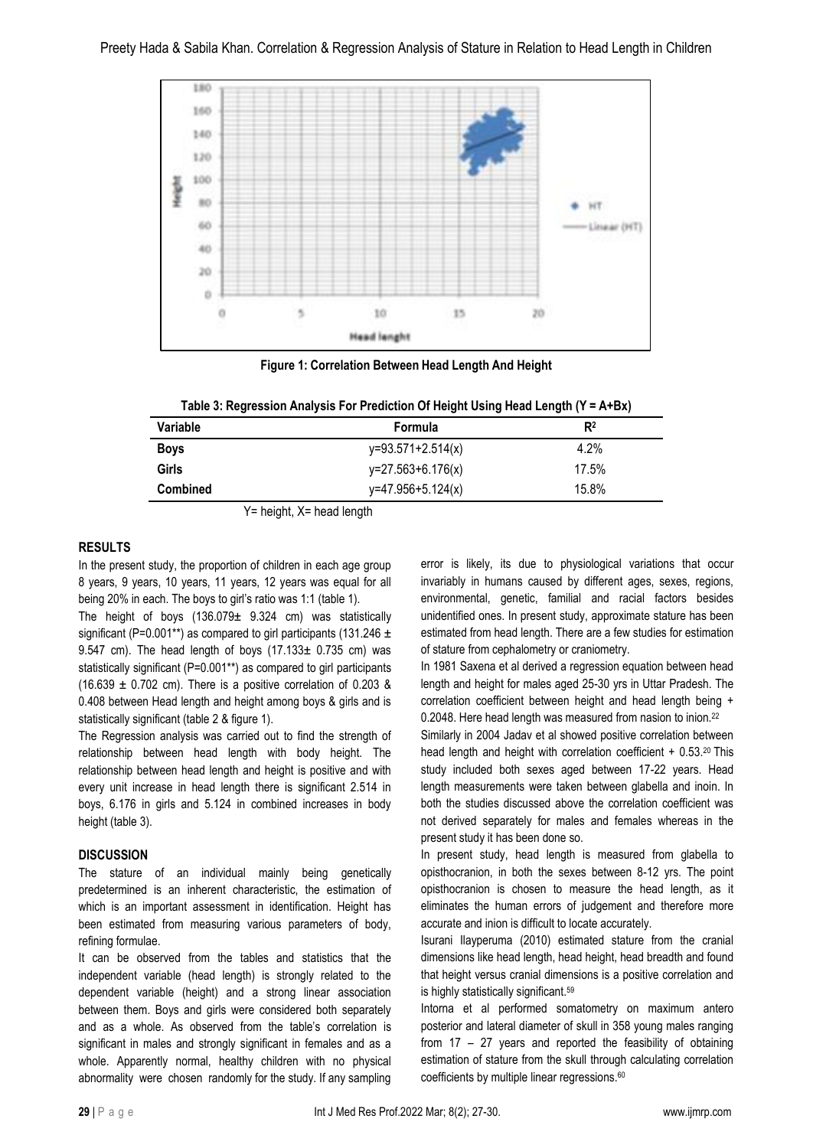

**Figure 1: Correlation Between Head Length And Height**

| Table 3: Regression Analysis For Prediction Of Height Using Head Length (Y = A+Bx) |  |  |
|------------------------------------------------------------------------------------|--|--|
|                                                                                    |  |  |

| Variable    | Formula             | R <sup>2</sup> |
|-------------|---------------------|----------------|
| <b>Boys</b> | $y=93.571+2.514(x)$ | 4.2%           |
| Girls       | $y=27.563+6.176(x)$ | 17.5%          |
| Combined    | $y=47.956+5.124(x)$ | 15.8%          |

Y= height, X= head length

# **RESULTS**

In the present study, the proportion of children in each age group 8 years, 9 years, 10 years, 11 years, 12 years was equal for all being 20% in each. The boys to girl's ratio was 1:1 (table 1).

The height of boys  $(136.079 \pm 9.324 \text{ cm})$  was statistically significant (P=0.001\*\*) as compared to girl participants (131.246  $\pm$ 9.547 cm). The head length of boys  $(17.133 \pm 0.735$  cm) was statistically significant (P=0.001\*\*) as compared to girl participants  $(16.639 \pm 0.702 \text{ cm})$ . There is a positive correlation of 0.203 & 0.408 between Head length and height among boys & girls and is statistically significant (table 2 & figure 1).

The Regression analysis was carried out to find the strength of relationship between head length with body height. The relationship between head length and height is positive and with every unit increase in head length there is significant 2.514 in boys, 6.176 in girls and 5.124 in combined increases in body height (table 3).

# **DISCUSSION**

The stature of an individual mainly being genetically predetermined is an inherent characteristic, the estimation of which is an important assessment in identification. Height has been estimated from measuring various parameters of body, refining formulae.

It can be observed from the tables and statistics that the independent variable (head length) is strongly related to the dependent variable (height) and a strong linear association between them. Boys and girls were considered both separately and as a whole. As observed from the table's correlation is significant in males and strongly significant in females and as a whole. Apparently normal, healthy children with no physical abnormality were chosen randomly for the study. If any sampling error is likely, its due to physiological variations that occur invariably in humans caused by different ages, sexes, regions, environmental, genetic, familial and racial factors besides unidentified ones. In present study, approximate stature has been estimated from head length. There are a few studies for estimation of stature from cephalometry or craniometry.

In 1981 Saxena et al derived a regression equation between head length and height for males aged 25-30 yrs in Uttar Pradesh. The correlation coefficient between height and head length being + 0.2048. Here head length was measured from nasion to inion.<sup>22</sup>

Similarly in 2004 Jadav et al showed positive correlation between head length and height with correlation coefficient + 0.53.<sup>20</sup> This study included both sexes aged between 17-22 years. Head length measurements were taken between glabella and inoin. In both the studies discussed above the correlation coefficient was not derived separately for males and females whereas in the present study it has been done so.

In present study, head length is measured from glabella to opisthocranion, in both the sexes between 8-12 yrs. The point opisthocranion is chosen to measure the head length, as it eliminates the human errors of judgement and therefore more accurate and inion is difficult to locate accurately.

Isurani Ilayperuma (2010) estimated stature from the cranial dimensions like head length, head height, head breadth and found that height versus cranial dimensions is a positive correlation and is highly statistically significant.<sup>59</sup>

Intorna et al performed somatometry on maximum antero posterior and lateral diameter of skull in 358 young males ranging from 17 – 27 years and reported the feasibility of obtaining estimation of stature from the skull through calculating correlation coefficients by multiple linear regressions.<sup>60</sup>